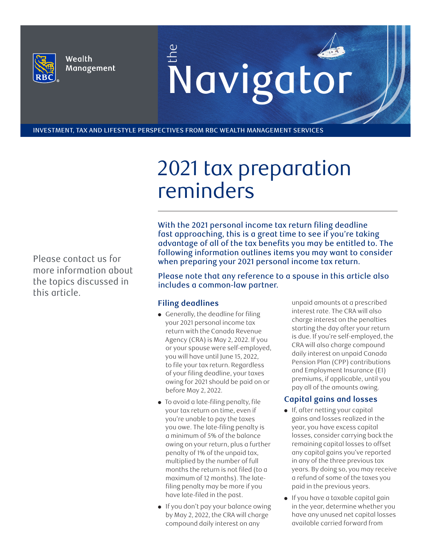

Wealth Management E Navigator

INVESTMENT, TAX AND LIFESTYLE PERSPECTIVES FROM RBC WEALTH MANAGEMENT SERVICES

# 2021 tax preparation reminders

Please contact us for more information about the topics discussed in this article.

With the 2021 personal income tax return filing deadline fast approaching, this is a great time to see if you're taking advantage of all of the tax benefits you may be entitled to. The following information outlines items you may want to consider when preparing your 2021 personal income tax return.

Please note that any reference to a spouse in this article also includes a common-law partner.

# **Filing deadlines**

- Generally, the deadline for filing your 2021 personal income tax return with the Canada Revenue Agency (CRA) is May 2, 2022. If you or your spouse were self-employed, you will have until June 15, 2022, to file your tax return. Regardless of your filing deadline, your taxes owing for 2021 should be paid on or before May 2, 2022.
- To avoid a late-filing penalty, file your tax return on time, even if you're unable to pay the taxes you owe. The late-filing penalty is a minimum of 5% of the balance owing on your return, plus a further penalty of 1% of the unpaid tax, multiplied by the number of full months the return is not filed (to a maximum of 12 months). The latefiling penalty may be more if you have late-filed in the past.
- If you don't pay your balance owing by May 2, 2022, the CRA will charge compound daily interest on any

unpaid amounts at a prescribed interest rate. The CRA will also charge interest on the penalties starting the day after your return is due. If you're self-employed, the CRA will also charge compound daily interest on unpaid Canada Pension Plan (CPP) contributions and Employment Insurance (EI) premiums, if applicable, until you pay all of the amounts owing.

# **Capital gains and losses**

- If, after netting your capital gains and losses realized in the year, you have excess capital losses, consider carrying back the remaining capital losses to offset any capital gains you've reported in any of the three previous tax years. By doing so, you may receive a refund of some of the taxes you paid in the previous years.
- If you have a taxable capital gain in the year, determine whether you have any unused net capital losses available carried forward from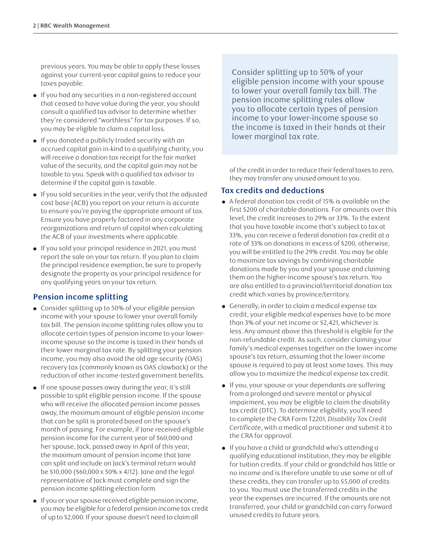previous years. You may be able to apply these losses against your current-year capital gains to reduce your taxes payable.

- If you had any securities in a non-registered account that ceased to have value during the year, you should consult a qualified tax advisor to determine whether they're considered "worthless" for tax purposes. If so, you may be eligible to claim a capital loss.
- If you donated a publicly traded security with an accrued capital gain in-kind to a qualifying charity, you will receive a donation tax receipt for the fair market value of the security, and the capital gain may not be taxable to you. Speak with a qualified tax advisor to determine if the capital gain is taxable.
- If you sold securities in the year, verify that the adjusted cost base (ACB) you report on your return is accurate to ensure you're paying the appropriate amount of tax. Ensure you have properly factored in any corporate reorganizations and return of capital when calculating the ACB of your investments where applicable.
- If you sold your principal residence in 2021, you must report the sale on your tax return. If you plan to claim the principal residence exemption, be sure to properly designate the property as your principal residence for any qualifying years on your tax return.

# **Pension income splitting**

- Consider splitting up to 50% of your eligible pension income with your spouse to lower your overall family tax bill. The pension income splitting rules allow you to allocate certain types of pension income to your lowerincome spouse so the income is taxed in their hands at their lower marginal tax rate. By splitting your pension income, you may also avoid the old age security (OAS) recovery tax (commonly known as OAS clawback) or the reduction of other income-tested government benefits.
- If one spouse passes away during the year, it's still possible to split eligible pension income. If the spouse who will receive the allocated pension income passes away, the maximum amount of eligible pension income that can be split is prorated based on the spouse's month of passing. For example, if Jane received eligible pension income for the current year of \$60,000 and her spouse, Jack, passed away in April of this year, the maximum amount of pension income that Jane can split and include on Jack's terminal return would be \$10,000 (\$60,000 x 50% x 4/12). Jane and the legal representative of Jack must complete and sign the pension income splitting election form.
- If you or your spouse received eligible pension income, you may be eligible for a federal pension income tax credit of up to \$2,000. If your spouse doesn't need to claim all

Consider splitting up to 50% of your eligible pension income with your spouse to lower your overall family tax bill. The pension income splitting rules allow you to allocate certain types of pension income to your lower-income spouse so the income is taxed in their hands at their lower marginal tax rate.

of the credit in order to reduce their federal taxes to zero, they may transfer any unused amount to you.

# **Tax credits and deductions**

- A federal donation tax credit of 15% is available on the first \$200 of charitable donations. For amounts over this level, the credit increases to 29% or 33%. To the extent that you have taxable income that's subject to tax at 33%, you can receive a federal donation tax credit at a rate of 33% on donations in excess of \$200, otherwise, you will be entitled to the 29% credit. You may be able to maximize tax savings by combining charitable donations made by you and your spouse and claiming them on the higher-income spouse's tax return. You are also entitled to a provincial/territorial donation tax credit which varies by province/territory.
- Generally, in order to claim a medical expense tax credit, your eligible medical expenses have to be more than 3% of your net income or \$2,421, whichever is less. Any amount above this threshold is eligible for the non-refundable credit. As such, consider claiming your family's medical expenses together on the lower-income spouse's tax return, assuming that the lower-income spouse is required to pay at least some taxes. This may allow you to maximize the medical expense tax credit.
- If you, your spouse or your dependants are suffering from a prolonged and severe mental or physical impairment, you may be eligible to claim the disability tax credit (DTC). To determine eligibility, you'll need to complete the CRA Form T2201, *Disability Tax Credit Certificate*, with a medical practitioner and submit it to the CRA for approval.
- If you have a child or grandchild who's attending a qualifying educational institution, they may be eligible for tuition credits. If your child or grandchild has little or no income and is therefore unable to use some or all of these credits, they can transfer up to \$5,000 of credits to you. You must use the transferred credits in the year the expenses are incurred. If the amounts are not transferred, your child or grandchild can carry forward unused credits to future years.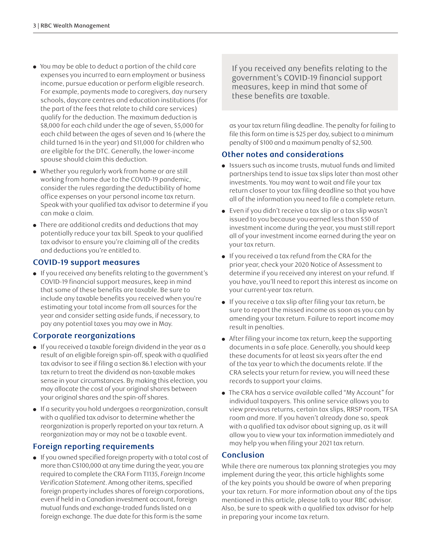- You may be able to deduct a portion of the child care expenses you incurred to earn employment or business income, pursue education or perform eligible research. For example, payments made to caregivers, day nursery schools, daycare centres and education institutions (for the part of the fees that relate to child care services) qualify for the deduction. The maximum deduction is \$8,000 for each child under the age of seven, \$5,000 for each child between the ages of seven and 16 (where the child turned 16 in the year) and \$11,000 for children who are eligible for the DTC. Generally, the lower-income spouse should claim this deduction.
- Whether you regularly work from home or are still working from home due to the COVID-19 pandemic, consider the rules regarding the deductibility of home office expenses on your personal income tax return. Speak with your qualified tax advisor to determine if you can make a claim.
- There are additional credits and deductions that may potentially reduce your tax bill. Speak to your qualified tax advisor to ensure you're claiming all of the credits and deductions you're entitled to.

#### **COVID-19 support measures**

● If you received any benefits relating to the government's COVID-19 financial support measures, keep in mind that some of these benefits are taxable. Be sure to include any taxable benefits you received when you're estimating your total income from all sources for the year and consider setting aside funds, if necessary, to pay any potential taxes you may owe in May.

# **Corporate reorganizations**

- If you received a taxable foreign dividend in the year as a result of an eligible foreign spin-off, speak with a qualified tax advisor to see if filing a section 86.1 election with your tax return to treat the dividend as non-taxable makes sense in your circumstances. By making this election, you may allocate the cost of your original shares between your original shares and the spin-off shares.
- If a security you hold undergoes a reorganization, consult with a qualified tax advisor to determine whether the reorganization is properly reported on your tax return. A reorganization may or may not be a taxable event.

# **Foreign reporting requirements**

● If you owned specified foreign property with a total cost of more than C\$100,000 at any time during the year, you are required to complete the CRA Form T1135, *Foreign Income Verification Statement*. Among other items, specified foreign property includes shares of foreign corporations, even if held in a Canadian investment account, foreign mutual funds and exchange-traded funds listed on a foreign exchange. The due date for this form is the same

If you received any benefits relating to the government's COVID-19 financial support measures, keep in mind that some of these benefits are taxable.

as your tax return filing deadline. The penalty for failing to file this form on time is \$25 per day, subject to a minimum penalty of \$100 and a maximum penalty of \$2,500.

#### **Other notes and considerations**

- Issuers such as income trusts, mutual funds and limited partnerships tend to issue tax slips later than most other investments. You may want to wait and file your tax return closer to your tax filing deadline so that you have all of the information you need to file a complete return.
- Even if you didn't receive a tax slip or a tax slip wasn't issued to you because you earned less than \$50 of investment income during the year, you must still report all of your investment income earned during the year on your tax return.
- If you received a tax refund from the CRA for the prior year, check your 2020 Notice of Assessment to determine if you received any interest on your refund. If you have, you'll need to report this interest as income on your current-year tax return.
- If you receive a tax slip after filing your tax return, be sure to report the missed income as soon as you can by amending your tax return. Failure to report income may result in penalties.
- After filing your income tax return, keep the supporting documents in a safe place. Generally, you should keep these documents for at least six years after the end of the tax year to which the documents relate. If the CRA selects your return for review, you will need these records to support your claims.
- The CRA has a service available called "My Account" for individual taxpayers. This online service allows you to view previous returns, certain tax slips, RRSP room, TFSA room and more. If you haven't already done so, speak with a qualified tax advisor about signing up, as it will allow you to view your tax information immediately and may help you when filing your 2021 tax return.

# **Conclusion**

While there are numerous tax planning strategies you may implement during the year, this article highlights some of the key points you should be aware of when preparing your tax return. For more information about any of the tips mentioned in this article, please talk to your RBC advisor. Also, be sure to speak with a qualified tax advisor for help in preparing your income tax return.